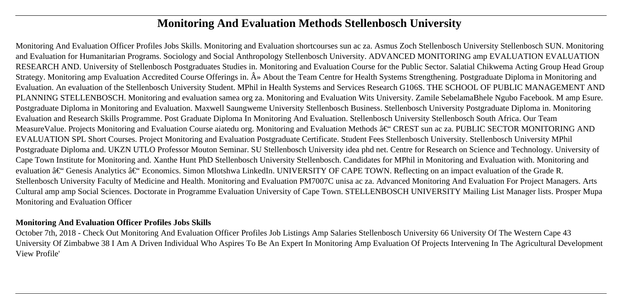# **Monitoring And Evaluation Methods Stellenbosch University**

Monitoring And Evaluation Officer Profiles Jobs Skills. Monitoring and Evaluation shortcourses sun ac za. Asmus Zoch Stellenbosch University Stellenbosch SUN. Monitoring and Evaluation for Humanitarian Programs. Sociology and Social Anthropology Stellenbosch University. ADVANCED MONITORING amp EVALUATION EVALUATION RESEARCH AND. University of Stellenbosch Postgraduates Studies in. Monitoring and Evaluation Course for the Public Sector. Salatial Chikwema Acting Group Head Group Strategy. Monitoring amp Evaluation Accredited Course Offerings in.  $\hat{A}$  About the Team Centre for Health Systems Strengthening. Postgraduate Diploma in Monitoring and Evaluation. An evaluation of the Stellenbosch University Student. MPhil in Health Systems and Services Research G106S. THE SCHOOL OF PUBLIC MANAGEMENT AND PLANNING STELLENBOSCH. Monitoring and evaluation samea org za. Monitoring and Evaluation Wits University. Zamile SebelamaBhele Ngubo Facebook. M amp Esure. Postgraduate Diploma in Monitoring and Evaluation. Maxwell Saungweme University Stellenbosch Business. Stellenbosch University Postgraduate Diploma in. Monitoring Evaluation and Research Skills Programme. Post Graduate Diploma In Monitoring And Evaluation. Stellenbosch University Stellenbosch South Africa. Our Team MeasureValue. Projects Monitoring and Evaluation Course aiatedu org. Monitoring and Evaluation Methods  $\hat{a}\in$  CREST sun ac za. PUBLIC SECTOR MONITORING AND EVALUATION SPL Short Courses. Project Monitoring and Evaluation Postgraduate Certificate. Student Fees Stellenbosch University. Stellenbosch University MPhil Postgraduate Diploma and. UKZN UTLO Professor Mouton Seminar. SU Stellenbosch University idea phd net. Centre for Research on Science and Technology. University of Cape Town Institute for Monitoring and. Xanthe Hunt PhD Stellenbosch University Stellenbosch. Candidates for MPhil in Monitoring and Evaluation with. Monitoring and evaluation  $\hat{a}\in$ " Genesis Analytics  $\hat{a}\in$ " Economics. Simon Mlotshwa LinkedIn. UNIVERSITY OF CAPE TOWN. Reflecting on an impact evaluation of the Grade R. Stellenbosch University Faculty of Medicine and Health. Monitoring and Evaluation PM7007C unisa ac za. Advanced Monitoring And Evaluation For Project Managers. Arts Cultural amp amp Social Sciences. Doctorate in Programme Evaluation University of Cape Town. STELLENBOSCH UNIVERSITY Mailing List Manager lists. Prosper Mupa Monitoring and Evaluation Officer

#### **Monitoring And Evaluation Officer Profiles Jobs Skills**

October 7th, 2018 - Check Out Monitoring And Evaluation Officer Profiles Job Listings Amp Salaries Stellenbosch University 66 University Of The Western Cape 43 University Of Zimbabwe 38 I Am A Driven Individual Who Aspires To Be An Expert In Monitoring Amp Evaluation Of Projects Intervening In The Agricultural Development View Profile'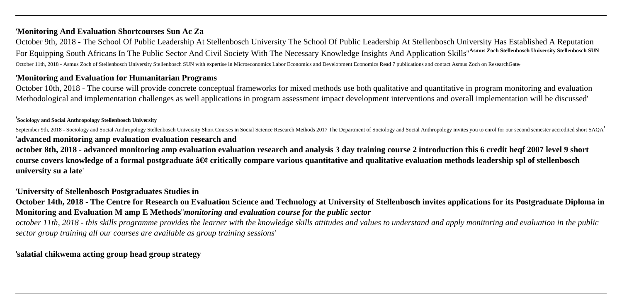### '**Monitoring And Evaluation Shortcourses Sun Ac Za**

October 9th, 2018 - The School Of Public Leadership At Stellenbosch University The School Of Public Leadership At Stellenbosch University Has Established A Reputation For Equipping South Africans In The Public Sector And Civil Society With The Necessary Knowledge Insights And Application Skills''**Asmus Zoch Stellenbosch University Stellenbosch SUN** October 11th, 2018 - Asmus Zoch of Stellenbosch University Stellenbosch SUN with expertise in Microeconomics Labor Economics and Development Economics Read 7 publications and contact Asmus Zoch on ResearchGate,

#### '**Monitoring and Evaluation for Humanitarian Programs**

October 10th, 2018 - The course will provide concrete conceptual frameworks for mixed methods use both qualitative and quantitative in program monitoring and evaluation Methodological and implementation challenges as well applications in program assessment impact development interventions and overall implementation will be discussed'

#### '**Sociology and Social Anthropology Stellenbosch University**

September 9th, 2018 - Sociology and Social Anthropology Stellenbosch University Short Courses in Social Science Research Methods 2017 The Department of Sociology and Social Anthropology invites you to enrol for our second '**advanced monitoring amp evaluation evaluation research and**

**october 8th, 2018 - advanced monitoring amp evaluation evaluation research and analysis 3 day training course 2 introduction this 6 credit heqf 2007 level 9 short** course covers knowledge of a formal postgraduate • critically compare various quantitative and qualitative evaluation methods leadership spl of stellenbosch **university su a late**'

#### '**University of Stellenbosch Postgraduates Studies in**

**October 14th, 2018 - The Centre for Research on Evaluation Science and Technology at University of Stellenbosch invites applications for its Postgraduate Diploma in Monitoring and Evaluation M amp E Methods**''*monitoring and evaluation course for the public sector*

*october 11th, 2018 - this skills programme provides the learner with the knowledge skills attitudes and values to understand and apply monitoring and evaluation in the public sector group training all our courses are available as group training sessions*'

### '**salatial chikwema acting group head group strategy**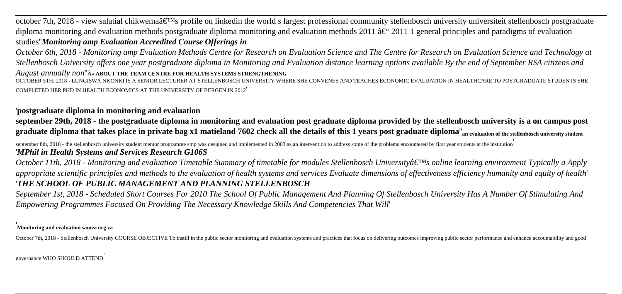october 7th, 2018 - view salatial chikwema $\hat{a} \in T^M$ s profile on linkedin the world s largest professional community stellenbosch university universiteit stellenbosch postgraduate diploma monitoring and evaluation methods postgraduate diploma monitoring and evaluation methods 2011  $\hat{a}\in$  2011 1 general principles and paradigms of evaluation studies''*Monitoring amp Evaluation Accredited Course Offerings in*

*October 6th, 2018 - Monitoring amp Evaluation Methods Centre for Research on Evaluation Science and The Centre for Research on Evaluation Science and Technology at Stellenbosch University offers one year postgraduate diploma in Monitoring and Evaluation distance learning options available By the end of September RSA citizens and*

August annually non"<sup>A</sup>» ABOUT THE TEAM CENTRE FOR HEALTH SYSTEMS STRENGTHENING

OCTOBER 5TH, 2018 - LUNGISWA NKONKI IS A SENIOR LECTURER AT STELLENBOSCH UNIVERSITY WHERE SHE CONVENES AND TEACHES ECONOMIC EVALUATION IN HEALTHCARE TO POSTGRADUATE STUDENTS SHE COMPLETED HER PHD IN HEALTH ECONOMICS AT THE UNIVERSITY OF BERGEN IN 2012'

### '**postgraduate diploma in monitoring and evaluation**

**september 29th, 2018 - the postgraduate diploma in monitoring and evaluation post graduate diploma provided by the stellenbosch university is a on campus post graduate diploma that takes place in private bag x1 matieland 7602 check all the details of this 1 years post graduate diploma**''**an evaluation of the stellenbosch university student**

september 8th, 2018 - the stellenbosch university student mentor programme smp was designed and implemented in 2003 as an intervention to address some of the problems encountered by first year students at the institution '*MPhil in Health Systems and Services Research G106S*

*October 11th, 2018 - Monitoring and evaluation Timetable Summary of timetable for modules Stellenbosch University's online learning environment Typically a Apply appropriate scientific principles and methods to the evaluation of health systems and services Evaluate dimensions of effectiveness efficiency humanity and equity of health*' '*THE SCHOOL OF PUBLIC MANAGEMENT AND PLANNING STELLENBOSCH*

*September 1st, 2018 - Scheduled Short Courses For 2010 The School Of Public Management And Planning Of Stellenbosch University Has A Number Of Stimulating And Empowering Programmes Focused On Providing The Necessary Knowledge Skills And Competencies That Will*'

#### '**Monitoring and evaluation samea org za**

October 7th, 2018 - Stellenbosch University COURSE OBJECTIVE To instill in the public sector monitoring and evaluation systems and practices that focus on delivering outcomes improving public sector performance and enhance

governance WHO SHOULD ATTEND'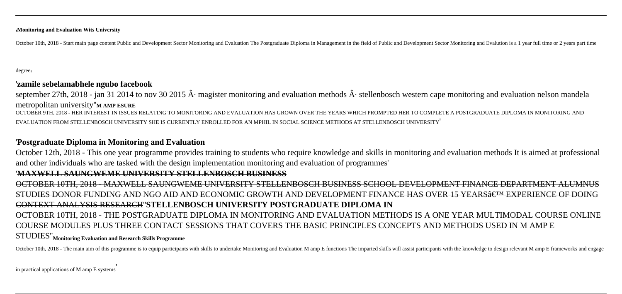'**Monitoring and Evaluation Wits University**

October 10th, 2018 - Start main page content Public and Development Sector Monitoring and Evaluation The Postgraduate Diploma in Management in the field of Public and Development Sector Monitoring and Evalution is a 1 year

degree'

#### '**zamile sebelamabhele ngubo facebook**

september 27th, 2018 - jan 31 2014 to nov 30 2015  $\hat{A}$ . magister monitoring and evaluation methods  $\hat{A}$ . stellenbosch western cape monitoring and evaluation nelson mandela metropolitan university''**M AMP ESURE**

OCTOBER 9TH, 2018 - HER INTEREST IN ISSUES RELATING TO MONITORING AND EVALUATION HAS GROWN OVER THE YEARS WHICH PROMPTED HER TO COMPLETE A POSTGRADUATE DIPLOMA IN MONITORING AND EVALUATION FROM STELLENBOSCH UNIVERSITY SHE IS CURRENTLY ENROLLED FOR AN MPHIL IN SOCIAL SCIENCE METHODS AT STELLENBOSCH UNIVERSITY'

## '**Postgraduate Diploma in Monitoring and Evaluation**

October 12th, 2018 - This one year programme provides training to students who require knowledge and skills in monitoring and evaluation methods It is aimed at professional and other individuals who are tasked with the design implementation monitoring and evaluation of programmes'

#### '**MAXWELL SAUNGWEME UNIVERSITY STELLENBOSCH BUSINESS**

OCTOBER 10TH, 2018 - MAXWELL SAUNGWEME UNIVERSITY STELLENBOSCH BUSINESS SCHOOL DEVELOPMENT FINANCE DEPARTMENT ALUMNUS STUDIES DONOR FUNDING AND NGO AID AND ECONOMIC GROWTH AND DEVELOPMENT FINANCE HAS OVER 15 YEARS $\hat{\sigma}$ etm experience of DOING CONTEXT ANALYSIS RESEARCH''**STELLENBOSCH UNIVERSITY POSTGRADUATE DIPLOMA IN** OCTOBER 10TH, 2018 - THE POSTGRADUATE DIPLOMA IN MONITORING AND EVALUATION METHODS IS A ONE YEAR MULTIMODAL COURSE ONLINE COURSE MODULES PLUS THREE CONTACT SESSIONS THAT COVERS THE BASIC PRINCIPLES CONCEPTS AND METHODS USED IN M AMP E STUDIES''**Monitoring Evaluation and Research Skills Programme**

October 10th, 2018 - The main aim of this programme is to equip participants with skills to undertake Monitoring and Evaluation M amp E functions The imparted skills will assist participants with the knowledge to design re

in practical applications of M amp E systems'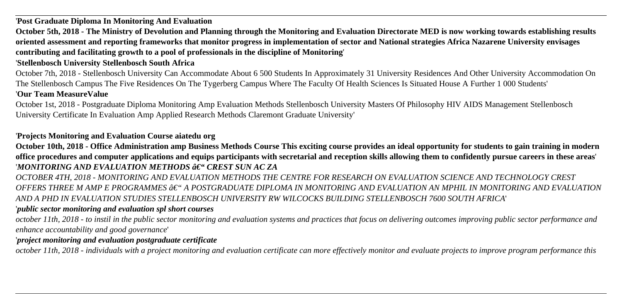'**Post Graduate Diploma In Monitoring And Evaluation**

**October 5th, 2018 - The Ministry of Devolution and Planning through the Monitoring and Evaluation Directorate MED is now working towards establishing results oriented assessment and reporting frameworks that monitor progress in implementation of sector and National strategies Africa Nazarene University envisages contributing and facilitating growth to a pool of professionals in the discipline of Monitoring**'

### '**Stellenbosch University Stellenbosch South Africa**

October 7th, 2018 - Stellenbosch University Can Accommodate About 6 500 Students In Approximately 31 University Residences And Other University Accommodation On The Stellenbosch Campus The Five Residences On The Tygerberg Campus Where The Faculty Of Health Sciences Is Situated House A Further 1 000 Students' '**Our Team MeasureValue**

October 1st, 2018 - Postgraduate Diploma Monitoring Amp Evaluation Methods Stellenbosch University Masters Of Philosophy HIV AIDS Management Stellenbosch University Certificate In Evaluation Amp Applied Research Methods Claremont Graduate University'

### '**Projects Monitoring and Evaluation Course aiatedu org**

**October 10th, 2018 - Office Administration amp Business Methods Course This exciting course provides an ideal opportunity for students to gain training in modern office procedures and computer applications and equips participants with secretarial and reception skills allowing them to confidently pursue careers in these areas**' '*MONITORING AND EVALUATION METHODS – CREST SUN AC ZA*

*OCTOBER 4TH, 2018 - MONITORING AND EVALUATION METHODS THE CENTRE FOR RESEARCH ON EVALUATION SCIENCE AND TECHNOLOGY CREST*  $O$ *FFERS THREE M AMP E PROGRAMMES*  $\hat{a}\in$ *" A POSTGRADUATE DIPLOMA IN MONITORING AND EVALUATION AN MPHIL IN MONITORING AND EVALUATION AND A PHD IN EVALUATION STUDIES STELLENBOSCH UNIVERSITY RW WILCOCKS BUILDING STELLENBOSCH 7600 SOUTH AFRICA*'

#### '*public sector monitoring and evaluation spl short courses*

*october 11th, 2018 - to instil in the public sector monitoring and evaluation systems and practices that focus on delivering outcomes improving public sector performance and enhance accountability and good governance*'

#### '*project monitoring and evaluation postgraduate certificate*

*october 11th, 2018 - individuals with a project monitoring and evaluation certificate can more effectively monitor and evaluate projects to improve program performance this*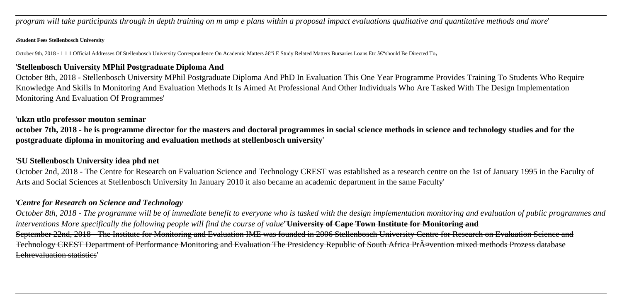*program will take participants through in depth training on m amp e plans within a proposal impact evaluations qualitative and quantitative methods and more*'

#### '**Student Fees Stellenbosch University**

October 9th, 2018 - 1 1 1 Official Addresses Of Stellenbosch University Correspondence On Academic Matters â€"i E Study Related Matters Bursaries Loans Etc â€"should Be Directed To

#### '**Stellenbosch University MPhil Postgraduate Diploma And**

October 8th, 2018 - Stellenbosch University MPhil Postgraduate Diploma And PhD In Evaluation This One Year Programme Provides Training To Students Who Require Knowledge And Skills In Monitoring And Evaluation Methods It Is Aimed At Professional And Other Individuals Who Are Tasked With The Design Implementation Monitoring And Evaluation Of Programmes'

#### '**ukzn utlo professor mouton seminar**

**october 7th, 2018 - he is programme director for the masters and doctoral programmes in social science methods in science and technology studies and for the postgraduate diploma in monitoring and evaluation methods at stellenbosch university**'

### '**SU Stellenbosch University idea phd net**

October 2nd, 2018 - The Centre for Research on Evaluation Science and Technology CREST was established as a research centre on the 1st of January 1995 in the Faculty of Arts and Social Sciences at Stellenbosch University In January 2010 it also became an academic department in the same Faculty'

### '*Centre for Research on Science and Technology*

*October 8th, 2018 - The programme will be of immediate benefit to everyone who is tasked with the design implementation monitoring and evaluation of public programmes and interventions More specifically the following people will find the course of value*''**University of Cape Town Institute for Monitoring and** September 22nd, 2018 - The Institute for Monitoring and Evaluation IME was founded in 2006 Stellenbosch University Centre for Research on Evaluation Science and Technology CREST Department of Performance Monitoring and Evaluation The Presidency Republic of South Africa Prävention mixed methods Prozess database Lehrevaluation statistics'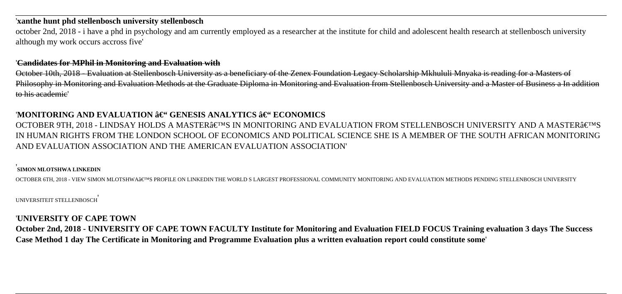#### '**xanthe hunt phd stellenbosch university stellenbosch**

october 2nd, 2018 - i have a phd in psychology and am currently employed as a researcher at the institute for child and adolescent health research at stellenbosch university although my work occurs accross five'

#### '**Candidates for MPhil in Monitoring and Evaluation with**

October 10th, 2018 - Evaluation at Stellenbosch University as a beneficiary of the Zenex Foundation Legacy Scholarship Mkhululi Mnyaka is reading for a Masters of Philosophy in Monitoring and Evaluation Methods at the Graduate Diploma in Monitoring and Evaluation from Stellenbosch University and a Master of Business a In addition to his academic'

### 'MONITORING AND EVALUATION  $\hat{\mathbf{a}} \in \mathcal{C}$  GENESIS ANALYTICS  $\hat{\mathbf{a}} \in \mathcal{C}$  ECONOMICS

OCTOBER 9TH, 2018 - LINDSAY HOLDS A MASTER'S IN MONITORING AND EVALUATION FROM STELLENBOSCH UNIVERSITY AND A MASTER'S IN HUMAN RIGHTS FROM THE LONDON SCHOOL OF ECONOMICS AND POLITICAL SCIENCE SHE IS A MEMBER OF THE SOUTH AFRICAN MONITORING AND EVALUATION ASSOCIATION AND THE AMERICAN EVALUATION ASSOCIATION'

#### '**SIMON MLOTSHWA LINKEDIN**

OCTOBER 6TH, 2018 - VIEW SIMON MLOTSHWA'S PROFILE ON LINKEDIN THE WORLD S LARGEST PROFESSIONAL COMMUNITY MONITORING AND EVALUATION METHODS PENDING STELLENBOSCH UNIVERSITY

#### UNIVERSITEIT STELLENBOSCH'

### '**UNIVERSITY OF CAPE TOWN**

**October 2nd, 2018 - UNIVERSITY OF CAPE TOWN FACULTY Institute for Monitoring and Evaluation FIELD FOCUS Training evaluation 3 days The Success Case Method 1 day The Certificate in Monitoring and Programme Evaluation plus a written evaluation report could constitute some**'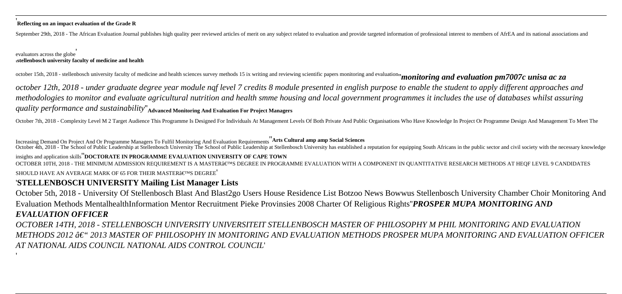#### '**Reflecting on an impact evaluation of the Grade R**

September 29th, 2018 - The African Evaluation Journal publishes high quality peer reviewed articles of merit on any subject related to evaluation and provide targeted information of professional interest to members of AfrE

#### evaluators across the globe' '**stellenbosch university faculty of medicine and health**

'

october 15th, 2018 - stellenbosch university faculty of medicine and health sciences survey methods 15 ix writing and reviewing scientific papers monitoring and evaluation" monitoring and evaluation pm7007c unisa ac za

*october 12th, 2018 - under graduate degree year module nqf level 7 credits 8 module presented in english purpose to enable the student to apply different approaches and methodologies to monitor and evaluate agricultural nutrition and health smme housing and local government programmes it includes the use of databases whilst assuring quality performance and sustainability*''**Advanced Monitoring And Evaluation For Project Managers**

October 7th, 2018 - Complexity Level M 2 Target Audience This Programme Is Designed For Individuals At Management Levels Of Both Private And Public Organisations Who Have Knowledge In Project Or Programme Design And Manage

Increasing Demand On Project And Or Programme Managers To Fulfil Monitoring And Evaluation Requirements''**Arts Cultural amp amp Social Sciences** October 4th, 2018 - The School of Public Leadership at Stellenbosch University The School of Public Leadership at Stellenbosch University has established a reputation for equipping South Africans in the public sector and c

insights and application skills''**DOCTORATE IN PROGRAMME EVALUATION UNIVERSITY OF CAPE TOWN** OCTOBER 10TH, 2018 - THE MINIMUM ADMISSION REOUIREMENT IS A MASTER'S DEGREE IN PROGRAMME EVALUATION WITH A COMPONENT IN OUANTITATIVE RESEARCH METHODS AT HEOF LEVEL 9 CANDIDATES

#### SHOULD HAVE AN AVERAGE MARK OF 65 FOR THEIR MASTER  $\hat{\mathbf{s}} \in \mathbb{R}^{T}$  and  $\mathbf{s} \in \mathbb{R}^{T}$

## '**STELLENBOSCH UNIVERSITY Mailing List Manager Lists**

October 5th, 2018 - University Of Stellenbosch Blast And Blast2go Users House Residence List Botzoo News Bowwus Stellenbosch University Chamber Choir Monitoring And Evaluation Methods MentalhealthInformation Mentor Recruitment Pieke Provinsies 2008 Charter Of Religious Rights''*PROSPER MUPA MONITORING AND EVALUATION OFFICER*

*OCTOBER 14TH, 2018 - STELLENBOSCH UNIVERSITY UNIVERSITEIT STELLENBOSCH MASTER OF PHILOSOPHY M PHIL MONITORING AND EVALUATION METHODS 2012 – 2013 MASTER OF PHILOSOPHY IN MONITORING AND EVALUATION METHODS PROSPER MUPA MONITORING AND EVALUATION OFFICER AT NATIONAL AIDS COUNCIL NATIONAL AIDS CONTROL COUNCIL*'